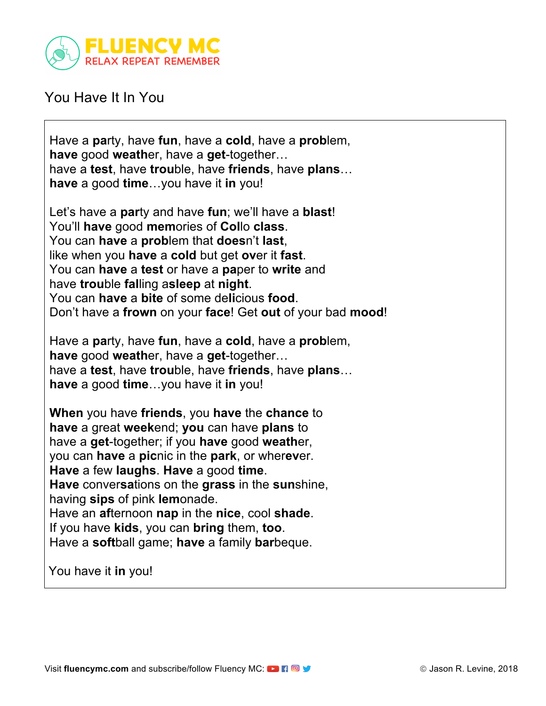

## You Have It In You

Have a **pa**rty, have **fun**, have a **cold**, have a **prob**lem, **have** good **weath**er, have a **get**-together… have a **test**, have **trou**ble, have **friends**, have **plans**… **have** a good **time**…you have it **in** you!

Let's have a **par**ty and have **fun**; we'll have a **blast**! You'll **have** good **mem**ories of **Col**lo **class**. You can **have** a **prob**lem that **does**n't **last**, like when you **have** a **cold** but get **ov**er it **fast**. You can **have** a **test** or have a **pa**per to **write** and have **trou**ble **fal**ling a**sleep** at **night**. You can **have** a **bite** of some de**li**cious **food**. Don't have a **frown** on your **face**! Get **out** of your bad **mood**!

Have a **pa**rty, have **fun**, have a **cold**, have a **prob**lem, **have** good **weath**er, have a **get**-together… have a **test**, have **trou**ble, have **friends**, have **plans**… **have** a good **time**…you have it **in** you!

**When** you have **friends**, you **have** the **chance** to **have** a great **week**end; **you** can have **plans** to have a **get**-together; if you **have** good **weath**er, you can **have** a **pic**nic in the **park**, or wher**ev**er. **Have** a few **laughs**. **Have** a good **time**. **Have** conver**sa**tions on the **grass** in the **sun**shine, having **sips** of pink **lem**onade. Have an **af**ternoon **nap** in the **nice**, cool **shade**. If you have **kids**, you can **bring** them, **too**. Have a **soft**ball game; **have** a family **bar**beque.

You have it **in** you!